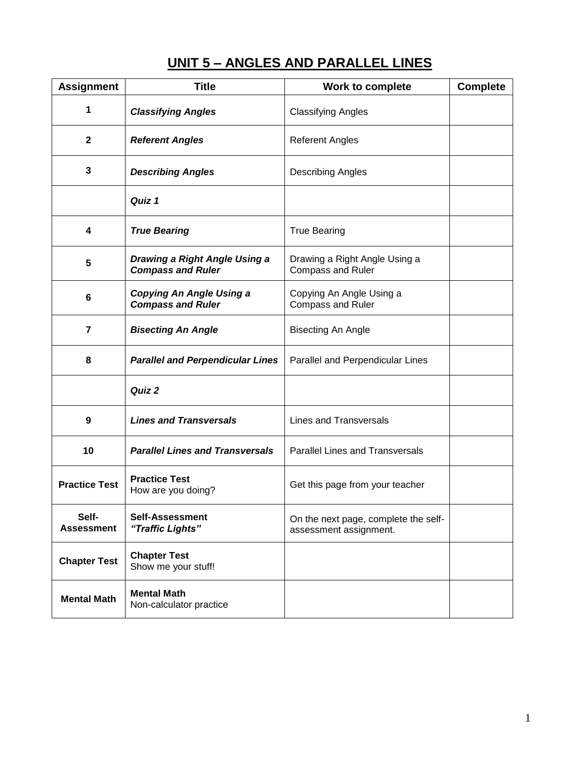# **UNIT 5 – ANGLES AND PARALLEL LINES**

| <b>Assignment</b>          | <b>Title</b>                                                | Work to complete                                               | <b>Complete</b> |
|----------------------------|-------------------------------------------------------------|----------------------------------------------------------------|-----------------|
| 1                          | <b>Classifying Angles</b>                                   | <b>Classifying Angles</b>                                      |                 |
| $\mathbf 2$                | <b>Referent Angles</b>                                      | <b>Referent Angles</b>                                         |                 |
| 3                          | <b>Describing Angles</b>                                    | <b>Describing Angles</b>                                       |                 |
|                            | Quiz 1                                                      |                                                                |                 |
| 4                          | <b>True Bearing</b>                                         | <b>True Bearing</b>                                            |                 |
| 5                          | Drawing a Right Angle Using a<br><b>Compass and Ruler</b>   | Drawing a Right Angle Using a<br><b>Compass and Ruler</b>      |                 |
| 6                          | <b>Copying An Angle Using a</b><br><b>Compass and Ruler</b> | Copying An Angle Using a<br><b>Compass and Ruler</b>           |                 |
| 7                          | <b>Bisecting An Angle</b>                                   | <b>Bisecting An Angle</b>                                      |                 |
| 8                          | <b>Parallel and Perpendicular Lines</b>                     | Parallel and Perpendicular Lines                               |                 |
|                            | Quiz 2                                                      |                                                                |                 |
| 9                          | <b>Lines and Transversals</b>                               | <b>Lines and Transversals</b>                                  |                 |
| 10                         | <b>Parallel Lines and Transversals</b>                      | <b>Parallel Lines and Transversals</b>                         |                 |
| <b>Practice Test</b>       | <b>Practice Test</b><br>How are you doing?                  | Get this page from your teacher                                |                 |
| Self-<br><b>Assessment</b> | <b>Self-Assessment</b><br>"Traffic Lights"                  | On the next page, complete the self-<br>assessment assignment. |                 |
| <b>Chapter Test</b>        | <b>Chapter Test</b><br>Show me your stuff!                  |                                                                |                 |
| <b>Mental Math</b>         | <b>Mental Math</b><br>Non-calculator practice               |                                                                |                 |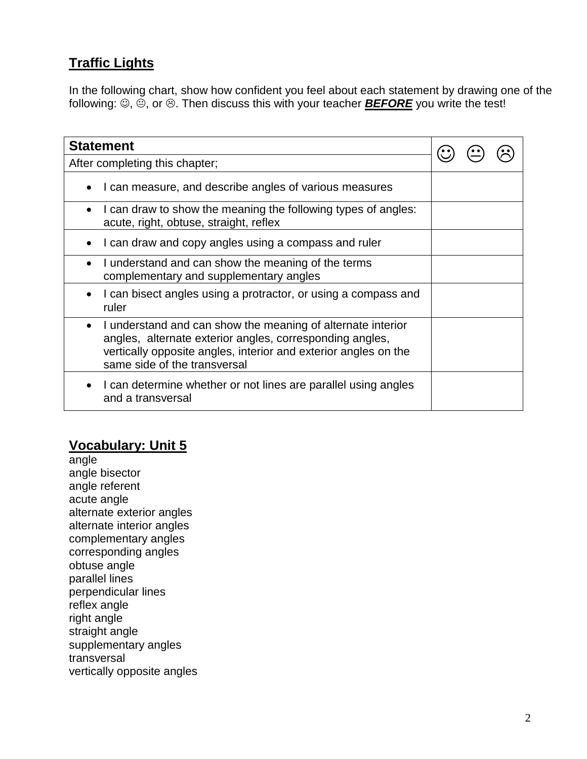### **Traffic Lights**

In the following chart, show how confident you feel about each statement by drawing one of the following:  $\mathfrak{D}, \mathfrak{D},$  or  $\mathfrak{D}$ . Then discuss this with your teacher **BEFORE** you write the test!

| <b>Statement</b>                                                                                                                                                                                                                        |  |  |
|-----------------------------------------------------------------------------------------------------------------------------------------------------------------------------------------------------------------------------------------|--|--|
| After completing this chapter;                                                                                                                                                                                                          |  |  |
| I can measure, and describe angles of various measures                                                                                                                                                                                  |  |  |
| I can draw to show the meaning the following types of angles:<br>acute, right, obtuse, straight, reflex                                                                                                                                 |  |  |
| I can draw and copy angles using a compass and ruler                                                                                                                                                                                    |  |  |
| I understand and can show the meaning of the terms<br>complementary and supplementary angles                                                                                                                                            |  |  |
| I can bisect angles using a protractor, or using a compass and<br>ruler                                                                                                                                                                 |  |  |
| I understand and can show the meaning of alternate interior<br>$\bullet$<br>angles, alternate exterior angles, corresponding angles,<br>vertically opposite angles, interior and exterior angles on the<br>same side of the transversal |  |  |
| I can determine whether or not lines are parallel using angles<br>and a transversal                                                                                                                                                     |  |  |

### **Vocabulary: Unit 5**

angle angle bisector angle referent acute angle alternate exterior angles alternate interior angles complementary angles corresponding angles obtuse angle parallel lines perpendicular lines reflex angle right angle straight angle supplementary angles transversal vertically opposite angles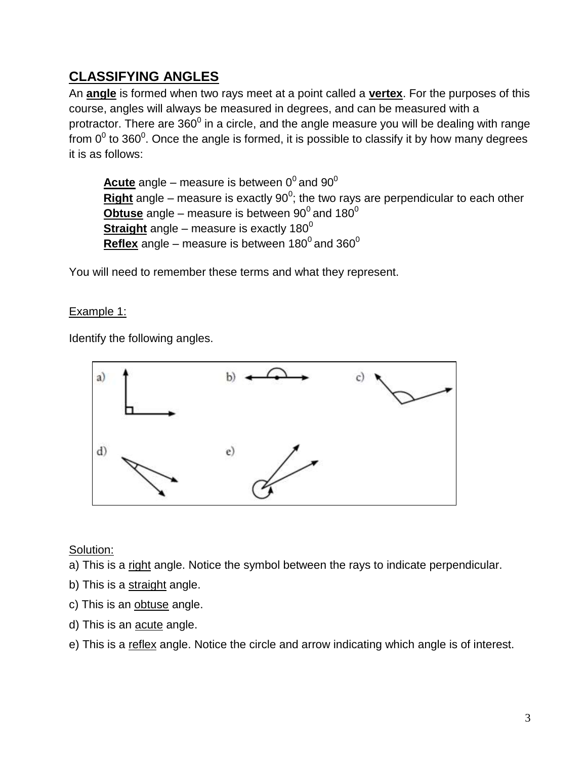### **CLASSIFYING ANGLES**

An **angle** is formed when two rays meet at a point called a **vertex**. For the purposes of this course, angles will always be measured in degrees, and can be measured with a protractor. There are 360<sup>0</sup> in a circle, and the angle measure you will be dealing with range from 0<sup>0</sup> to 360<sup>0</sup>. Once the angle is formed, it is possible to classify it by how many degrees it is as follows:

 $\frac{\textsf{Acute}}{\textsf{0}^0}$  angle – measure is between  $0^0$  and  $90^0$ **<u>Right</u>** angle – measure is exactly 90<sup>0</sup>; the two rays are perpendicular to each other  $\bm{\mathrm{Obtuse}}$  angle – measure is between  $90^0$  and 180 $^0$ **Straight** angle – measure is exactly  $180^\circ$  ${\rm Reflex}$  angle – measure is between 180 $^0$  and 360 $^0$ 

You will need to remember these terms and what they represent.

Example 1:

Identify the following angles.



Solution:

a) This is a right angle. Notice the symbol between the rays to indicate perpendicular.

- b) This is a straight angle.
- c) This is an obtuse angle.
- d) This is an acute angle.
- e) This is a reflex angle. Notice the circle and arrow indicating which angle is of interest.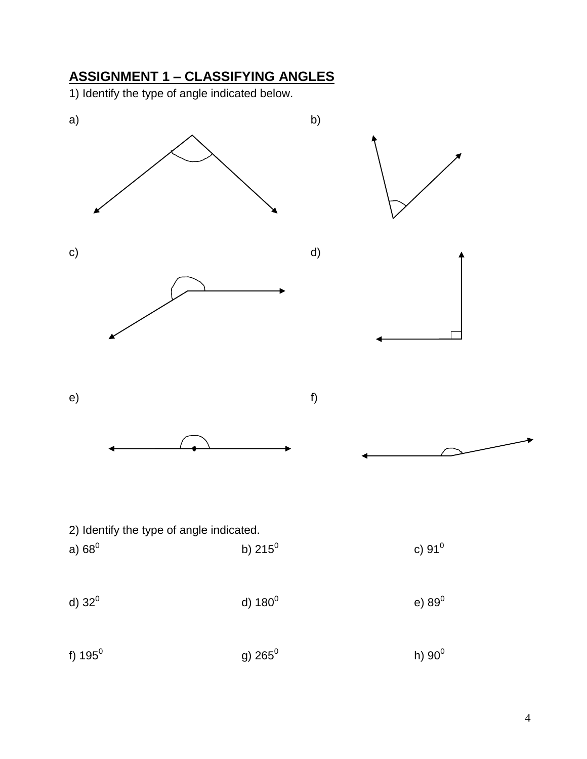# **ASSIGNMENT 1 – CLASSIFYING ANGLES**

1) Identify the type of angle indicated below.

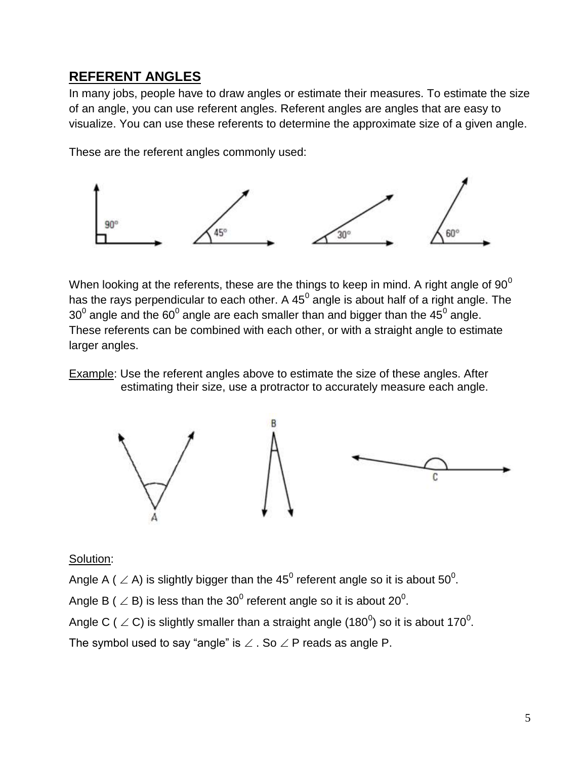### **REFERENT ANGLES**

In many jobs, people have to draw angles or estimate their measures. To estimate the size of an angle, you can use referent angles. Referent angles are angles that are easy to visualize. You can use these referents to determine the approximate size of a given angle.

These are the referent angles commonly used:



When looking at the referents, these are the things to keep in mind. A right angle of  $90^0$ has the rays perpendicular to each other. A 45<sup>0</sup> angle is about half of a right angle. The 30<sup>0</sup> angle and the 60<sup>0</sup> angle are each smaller than and bigger than the 45<sup>0</sup> angle. These referents can be combined with each other, or with a straight angle to estimate larger angles.

Example: Use the referent angles above to estimate the size of these angles. After estimating their size, use a protractor to accurately measure each angle.



#### Solution:

Angle A (  $\angle$  A) is slightly bigger than the 45<sup>0</sup> referent angle so it is about 50<sup>0</sup>.

Angle B (  $\angle$  B) is less than the 30<sup>0</sup> referent angle so it is about 20<sup>0</sup>.

Angle C (  $\angle$  C) is slightly smaller than a straight angle (180<sup>0</sup>) so it is about 170<sup>0</sup>.

The symbol used to say "angle" is  $\angle$  . So  $\angle$  P reads as angle P.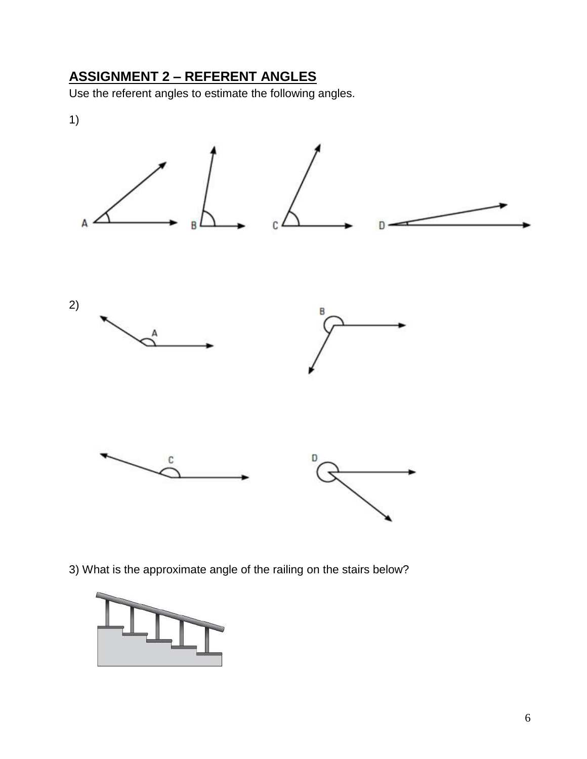# **ASSIGNMENT 2 – REFERENT ANGLES**

Use the referent angles to estimate the following angles.



3) What is the approximate angle of the railing on the stairs below?

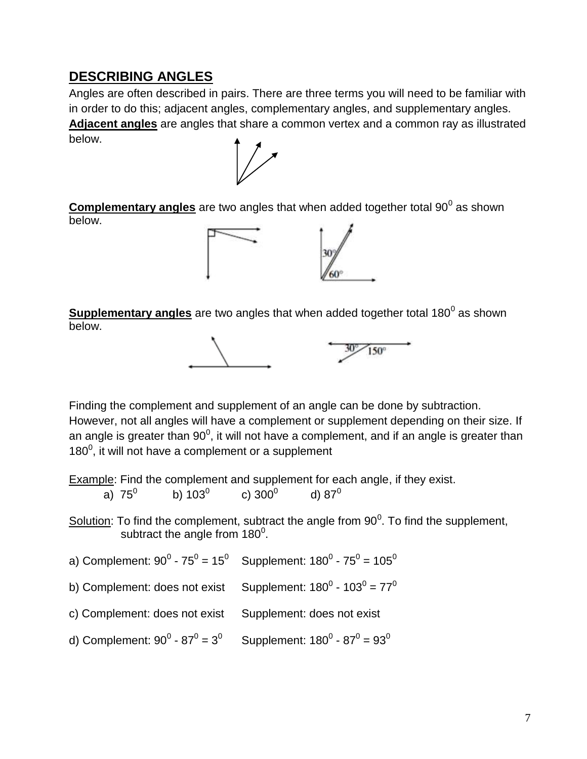### **DESCRIBING ANGLES**

Angles are often described in pairs. There are three terms you will need to be familiar with in order to do this; adjacent angles, complementary angles, and supplementary angles. **Adjacent angles** are angles that share a common vertex and a common ray as illustrated below.



**Complementary angles** are two angles that when added together total 90<sup>0</sup> as shown below.



**Supplementary angles** are two angles that when added together total 180<sup>0</sup> as shown below.



Finding the complement and supplement of an angle can be done by subtraction. However, not all angles will have a complement or supplement depending on their size. If an angle is greater than 90<sup>0</sup>, it will not have a complement, and if an angle is greater than  $180^0$ , it will not have a complement or a supplement

Example: Find the complement and supplement for each angle, if they exist. a) 75 $^{\circ}$ b)  $103^0$ c)  $300^0$ d)  $87^0$ 

Solution: To find the complement, subtract the angle from  $90^0$ . To find the supplement, subtract the angle from 180 $^0$ .

a) Complement: 90 $^0$  - 75 $^0$  = 15 $^0$  Supplement: 180 $^0$  - 75 $^0$  = 105 $^0$ 

b) Complement: does not exist Supplement: 180<sup>0</sup> - 103<sup>0</sup> = 77<sup>0</sup>

c) Complement: does not exist Supplement: does not exist

d) Complement: 90 $^0$  - 87 $^0$  = 3 $^0$  Supplement: 180 $^0$  - 87 $^0$  = 93 $^0$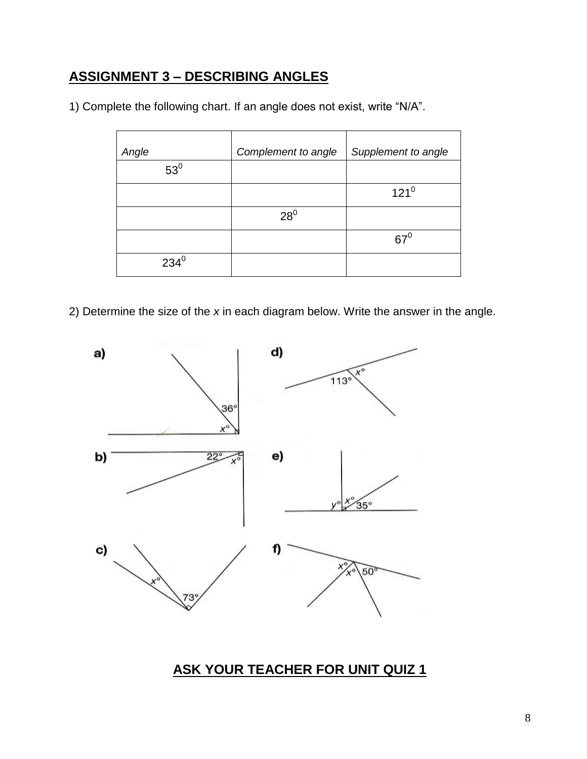# **ASSIGNMENT 3 – DESCRIBING ANGLES**

1) Complete the following chart. If an angle does not exist, write "N/A".

| Angle   | Complement to angle | Supplement to angle |
|---------|---------------------|---------------------|
| $53^0$  |                     |                     |
|         |                     | $121^0$             |
|         | $28^0$              |                     |
|         |                     | $67^\circ$          |
| $234^0$ |                     |                     |

2) Determine the size of the *x* in each diagram below. Write the answer in the angle.



**ASK YOUR TEACHER FOR UNIT QUIZ 1**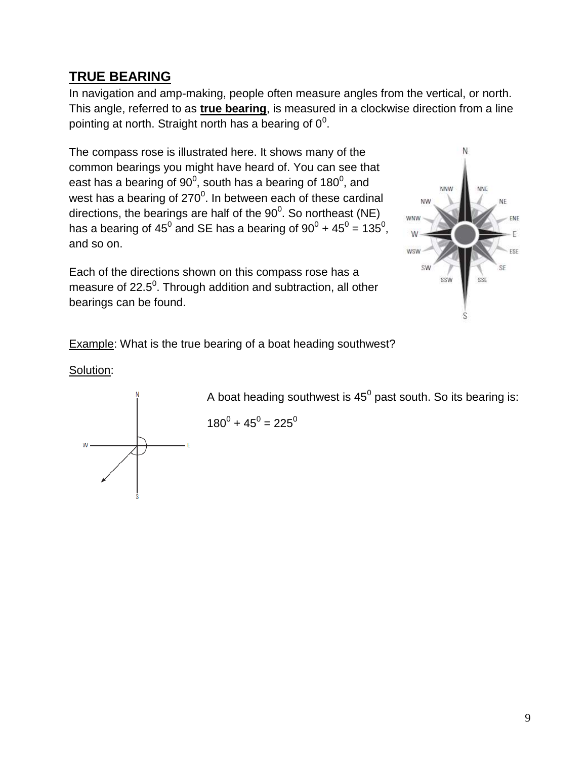### **TRUE BEARING**

In navigation and amp-making, people often measure angles from the vertical, or north. This angle, referred to as **true bearing**, is measured in a clockwise direction from a line pointing at north. Straight north has a bearing of  $0^0$ .

The compass rose is illustrated here. It shows many of the common bearings you might have heard of. You can see that east has a bearing of 90<sup>0</sup>, south has a bearing of 180<sup>0</sup>, and west has a bearing of 270 $^0$ . In between each of these cardinal directions, the bearings are half of the 90 $^0$ . So northeast (NE) has a bearing of 45<sup>0</sup> and SE has a bearing of 90<sup>0</sup> + 45<sup>0</sup> = 135<sup>0</sup>, and so on.

Each of the directions shown on this compass rose has a measure of 22.5<sup>0</sup>. Through addition and subtraction, all other bearings can be found.



Example: What is the true bearing of a boat heading southwest?

Solution:



A boat heading southwest is 45<sup>0</sup> past south. So its bearing is:

$$
180^0 + 45^0 = 225^0
$$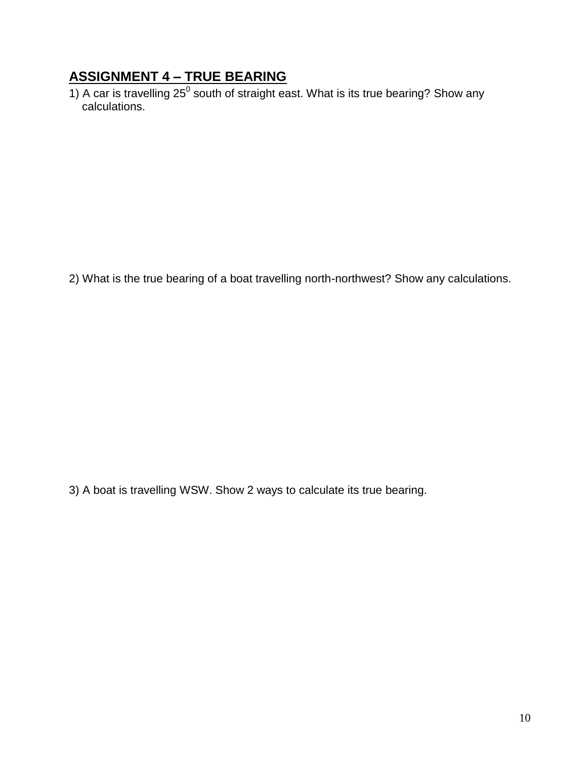# **ASSIGNMENT 4 – TRUE BEARING**

1) A car is travelling 25<sup>0</sup> south of straight east. What is its true bearing? Show any calculations.

2) What is the true bearing of a boat travelling north-northwest? Show any calculations.

3) A boat is travelling WSW. Show 2 ways to calculate its true bearing.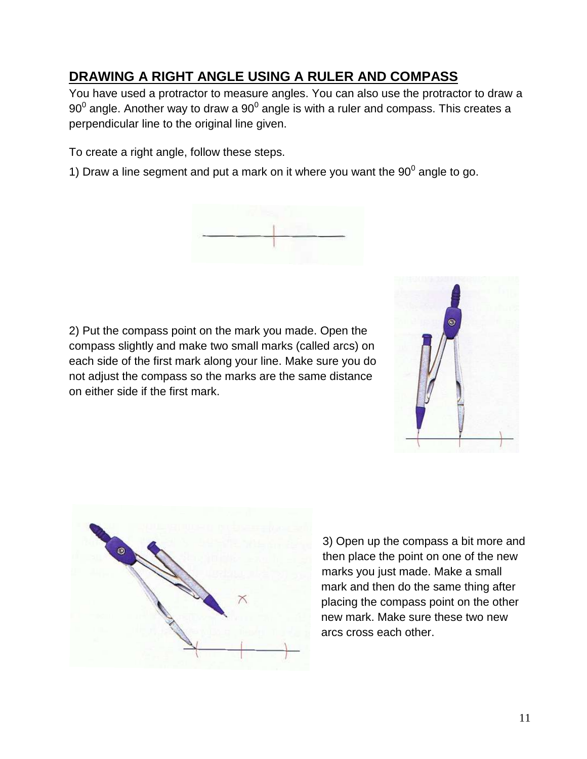# **DRAWING A RIGHT ANGLE USING A RULER AND COMPASS**

You have used a protractor to measure angles. You can also use the protractor to draw a 90 $^{\rm 0}$  angle. Another way to draw a 90 $^{\rm 0}$  angle is with a ruler and compass. This creates a perpendicular line to the original line given.

To create a right angle, follow these steps.

1) Draw a line segment and put a mark on it where you want the  $90^0$  angle to go.



2) Put the compass point on the mark you made. Open the compass slightly and make two small marks (called arcs) on each side of the first mark along your line. Make sure you do not adjust the compass so the marks are the same distance on either side if the first mark.





3) Open up the compass a bit more and then place the point on one of the new marks you just made. Make a small mark and then do the same thing after placing the compass point on the other new mark. Make sure these two new arcs cross each other.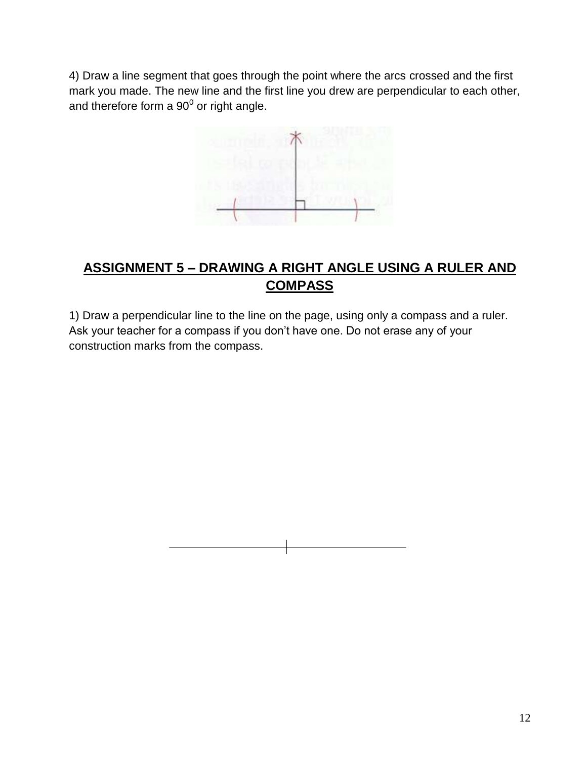4) Draw a line segment that goes through the point where the arcs crossed and the first mark you made. The new line and the first line you drew are perpendicular to each other, and therefore form a  $90^0$  or right angle.



# **ASSIGNMENT 5 – DRAWING A RIGHT ANGLE USING A RULER AND COMPASS**

1) Draw a perpendicular line to the line on the page, using only a compass and a ruler. Ask your teacher for a compass if you don't have one. Do not erase any of your construction marks from the compass.

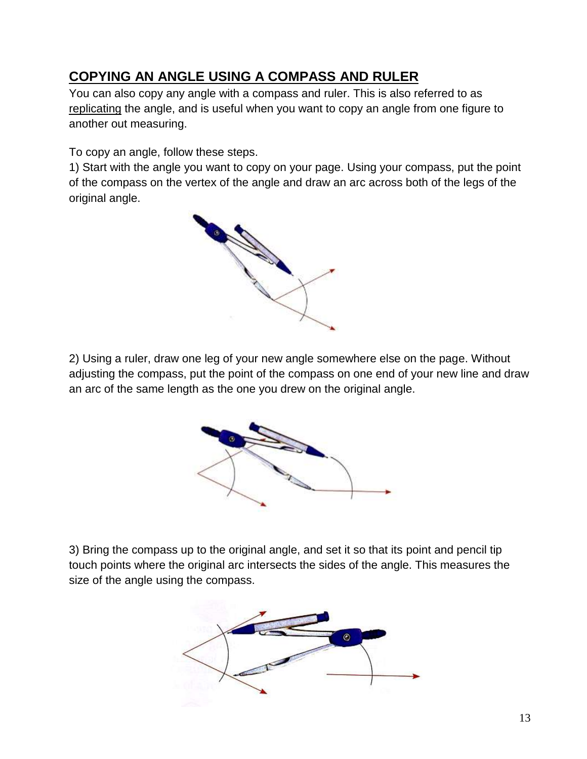# **COPYING AN ANGLE USING A COMPASS AND RULER**

You can also copy any angle with a compass and ruler. This is also referred to as replicating the angle, and is useful when you want to copy an angle from one figure to another out measuring.

To copy an angle, follow these steps.

1) Start with the angle you want to copy on your page. Using your compass, put the point of the compass on the vertex of the angle and draw an arc across both of the legs of the original angle.



2) Using a ruler, draw one leg of your new angle somewhere else on the page. Without adjusting the compass, put the point of the compass on one end of your new line and draw an arc of the same length as the one you drew on the original angle.



3) Bring the compass up to the original angle, and set it so that its point and pencil tip touch points where the original arc intersects the sides of the angle. This measures the size of the angle using the compass.

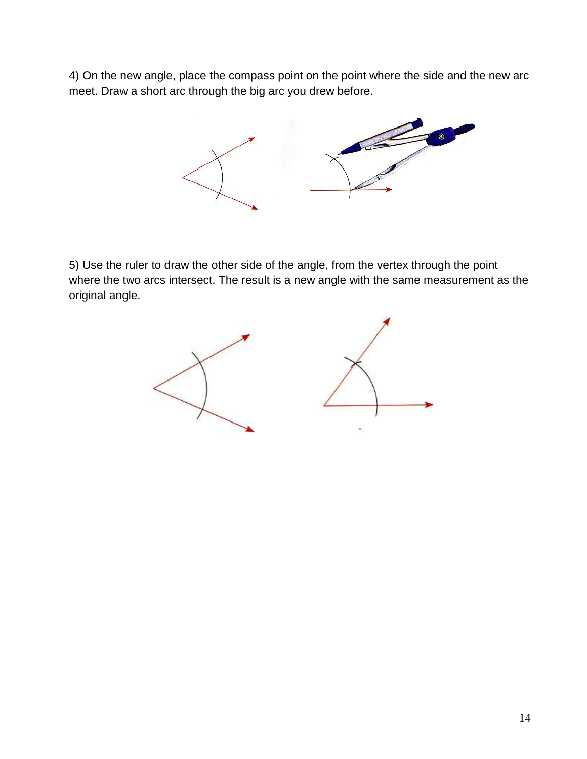4) On the new angle, place the compass point on the point where the side and the new arc meet. Draw a short arc through the big arc you drew before.



5) Use the ruler to draw the other side of the angle, from the vertex through the point where the two arcs intersect. The result is a new angle with the same measurement as the original angle.

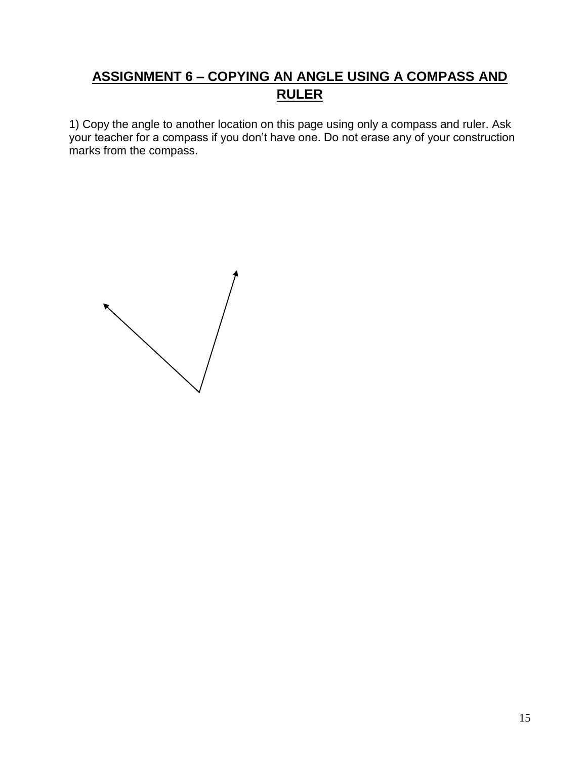# **ASSIGNMENT 6 – COPYING AN ANGLE USING A COMPASS AND RULER**

1) Copy the angle to another location on this page using only a compass and ruler. Ask your teacher for a compass if you don't have one. Do not erase any of your construction marks from the compass.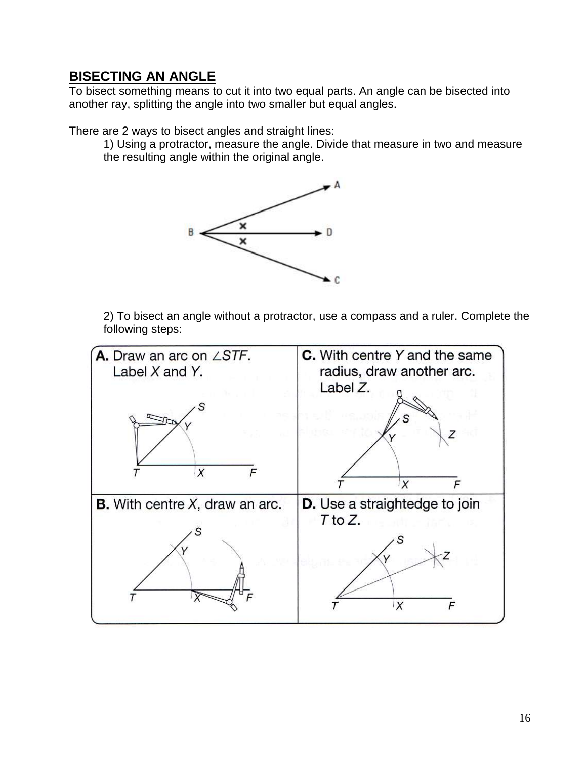#### **BISECTING AN ANGLE**

To bisect something means to cut it into two equal parts. An angle can be bisected into another ray, splitting the angle into two smaller but equal angles.

There are 2 ways to bisect angles and straight lines:

1) Using a protractor, measure the angle. Divide that measure in two and measure the resulting angle within the original angle.



2) To bisect an angle without a protractor, use a compass and a ruler. Complete the following steps:

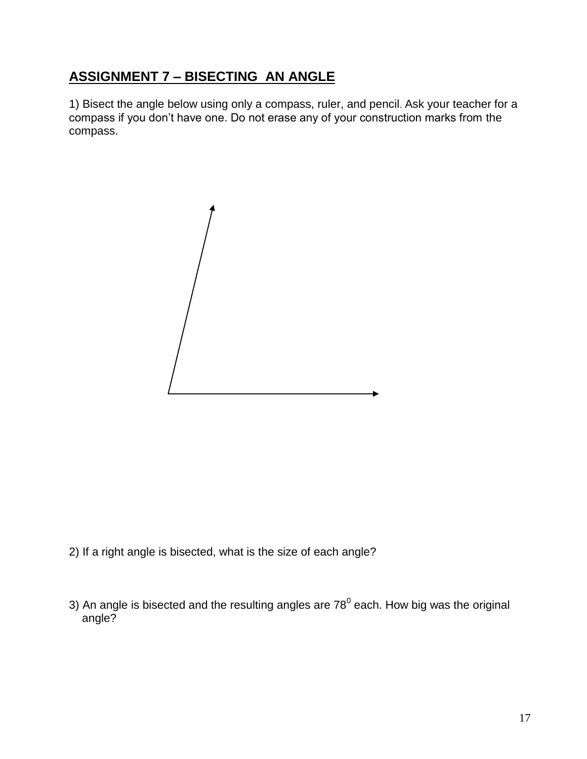# **ASSIGNMENT 7 – BISECTING AN ANGLE**

1) Bisect the angle below using only a compass, ruler, and pencil. Ask your teacher for a compass if you don't have one. Do not erase any of your construction marks from the compass.



- 2) If a right angle is bisected, what is the size of each angle?
- 3) An angle is bisected and the resulting angles are 78<sup>0</sup> each. How big was the original angle?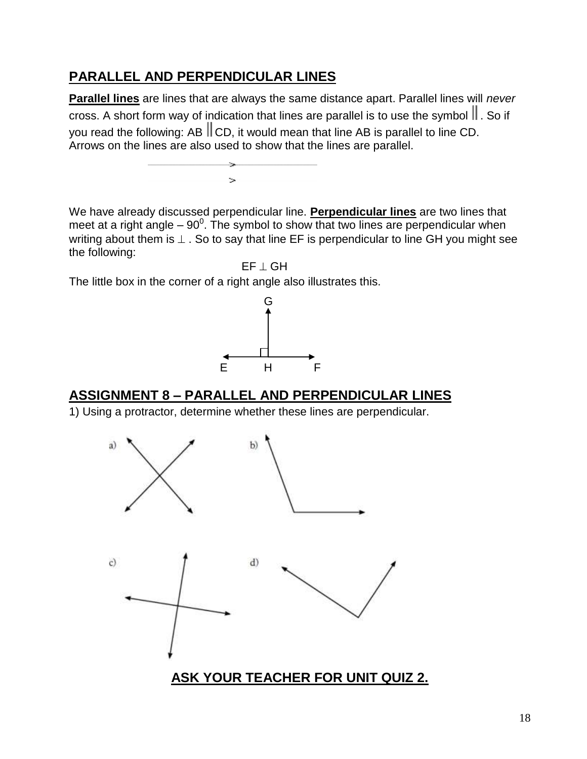### **PARALLEL AND PERPENDICULAR LINES**

**Parallel lines** are lines that are always the same distance apart. Parallel lines will *never* cross. A short form way of indication that lines are parallel is to use the symbol  $\parallel$ . So if you read the following: AB  $\parallel$  CD, it would mean that line AB is parallel to line CD. Arrows on the lines are also used to show that the lines are parallel.

We have already discussed perpendicular line. **Perpendicular lines** are two lines that meet at a right angle  $-90^{\circ}$ . The symbol to show that two lines are perpendicular when writing about them is  $\perp$ . So to say that line EF is perpendicular to line GH you might see the following:

 $EF + GH$ 

The little box in the corner of a right angle also illustrates this.

 $\geq$ 



### **ASSIGNMENT 8 – PARALLEL AND PERPENDICULAR LINES**

1) Using a protractor, determine whether these lines are perpendicular.

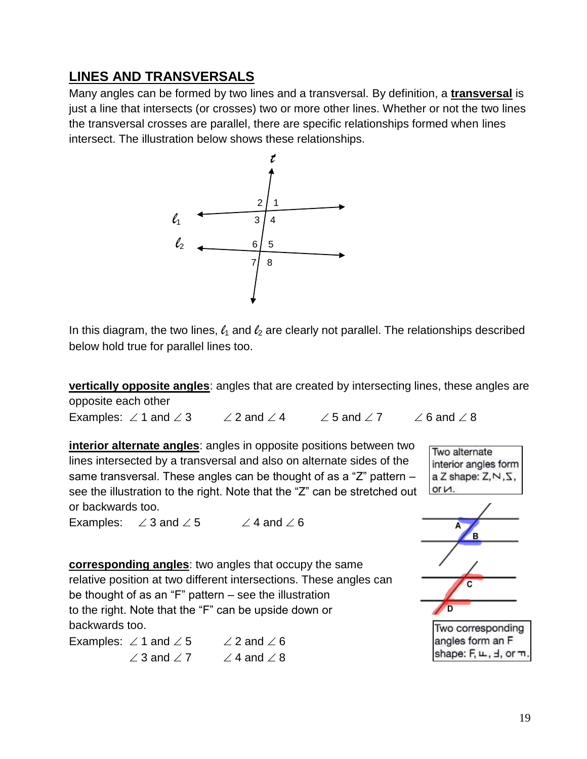### **LINES AND TRANSVERSALS**

Many angles can be formed by two lines and a transversal. By definition, a **transversal** is just a line that intersects (or crosses) two or more other lines. Whether or not the two lines the transversal crosses are parallel, there are specific relationships formed when lines intersect. The illustration below shows these relationships.



In this diagram, the two lines,  $\ell_1$  and  $\ell_2$  are clearly not parallel. The relationships described below hold true for parallel lines too.

**vertically opposite angles**: angles that are created by intersecting lines, these angles are opposite each other

Examples:  $\angle$  1 and  $\angle$  3  $\angle$  2 and  $\angle$  4  $\angle$  5 and  $\angle$  7  $\angle$  6 and  $\angle$  8

**interior alternate angles**: angles in opposite positions between two lines intersected by a transversal and also on alternate sides of the same transversal. These angles can be thought of as a "Z" pattern – see the illustration to the right. Note that the "Z" can be stretched out or backwards too.

Examples:  $\angle 3$  and  $\angle 5$   $\angle 4$  and  $\angle 6$ 

**corresponding angles**: two angles that occupy the same relative position at two different intersections. These angles can be thought of as an " $F$ " pattern  $-$  see the illustration to the right. Note that the "F" can be upside down or backwards too.

Examples:  $\angle$  1 and  $\angle$  5  $\angle$  2 and  $\angle$  6  $\angle$  3 and  $\angle$  7  $\angle$  4 and  $\angle$  8



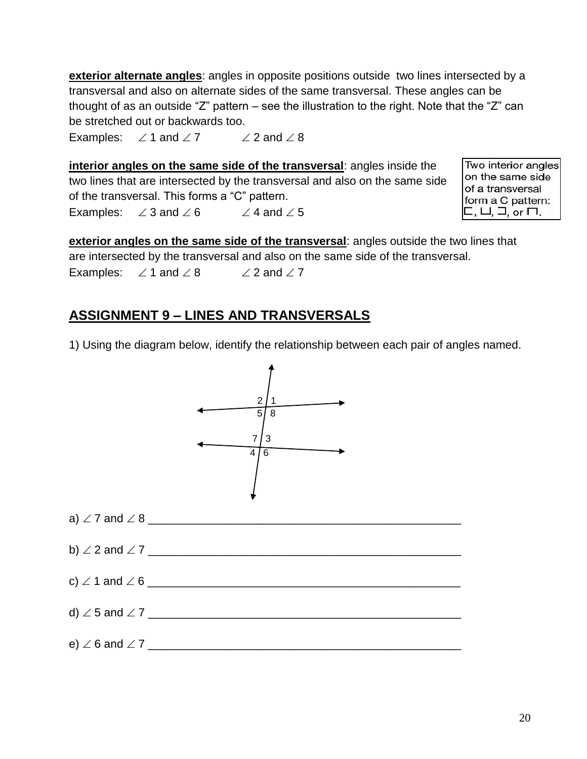**exterior alternate angles**: angles in opposite positions outside two lines intersected by a transversal and also on alternate sides of the same transversal. These angles can be thought of as an outside "Z" pattern – see the illustration to the right. Note that the "Z" can be stretched out or backwards too.

Examples:  $\angle$  1 and  $\angle$  7  $\angle$  2 and  $\angle$  8

**interior angles on the same side of the transversal**: angles inside the two lines that are intersected by the transversal and also on the same side of the transversal. This forms a "C" pattern. Examples:  $\angle 3$  and  $\angle 6$   $\angle 4$  and  $\angle 5$ 

Two interior angles on the same side of a transversal form a C pattern:  $\Box$ ,  $\Box$ , or  $\Box$ .

**exterior angles on the same side of the transversal:** angles outside the two lines that are intersected by the transversal and also on the same side of the transversal. Examples:  $\angle$  1 and  $\angle$  8  $\angle$  2 and  $\angle$  7

### **ASSIGNMENT 9 – LINES AND TRANSVERSALS**

1) Using the diagram below, identify the relationship between each pair of angles named.

 $2/1$  $58$  $7/3$  4 6 a)  $\angle$  7 and  $\angle$  8 b) 2 and 7 \_\_\_\_\_\_\_\_\_\_\_\_\_\_\_\_\_\_\_\_\_\_\_\_\_\_\_\_\_\_\_\_\_\_\_\_\_\_\_\_\_\_\_\_\_\_\_\_\_ c)  $\angle$  1 and  $\angle$  6 d)  $\angle$  5 and  $\angle$  7 e) 6 and 7 \_\_\_\_\_\_\_\_\_\_\_\_\_\_\_\_\_\_\_\_\_\_\_\_\_\_\_\_\_\_\_\_\_\_\_\_\_\_\_\_\_\_\_\_\_\_\_\_\_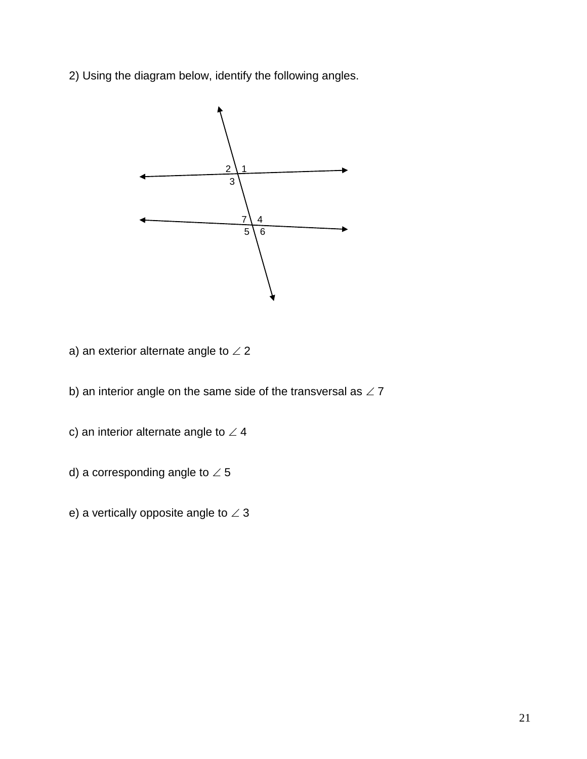2) Using the diagram below, identify the following angles.



- a) an exterior alternate angle to  $\angle$  2
- b) an interior angle on the same side of the transversal as  $\angle$  7
- c) an interior alternate angle to  $\angle$  4
- d) a corresponding angle to  $\angle$  5
- e) a vertically opposite angle to  $\angle 3$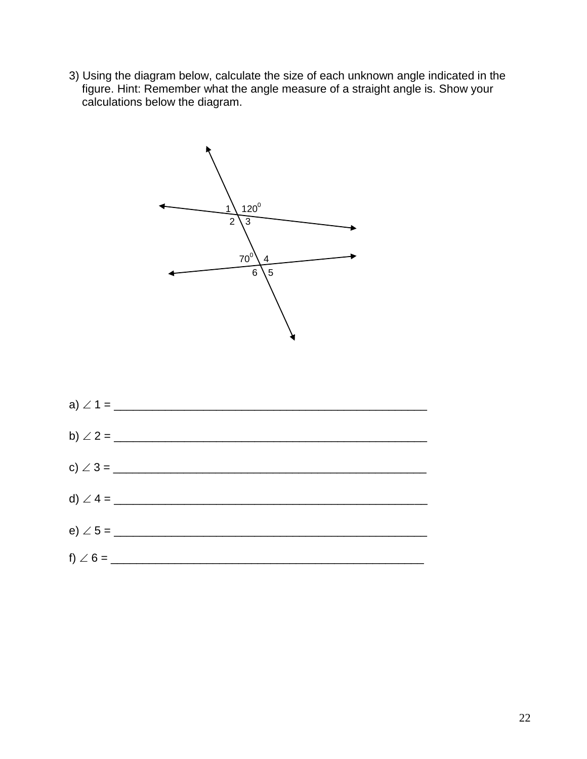3) Using the diagram below, calculate the size of each unknown angle indicated in the figure. Hint: Remember what the angle measure of a straight angle is. Show your calculations below the diagram.



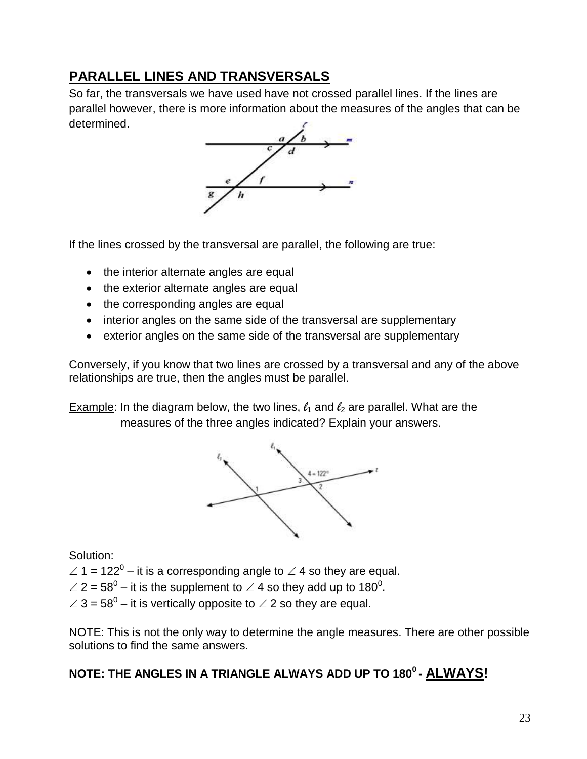### **PARALLEL LINES AND TRANSVERSALS**

So far, the transversals we have used have not crossed parallel lines. If the lines are parallel however, there is more information about the measures of the angles that can be determined.



If the lines crossed by the transversal are parallel, the following are true:

- the interior alternate angles are equal
- the exterior alternate angles are equal
- the corresponding angles are equal
- interior angles on the same side of the transversal are supplementary
- exterior angles on the same side of the transversal are supplementary

Conversely, if you know that two lines are crossed by a transversal and any of the above relationships are true, then the angles must be parallel.

Example: In the diagram below, the two lines,  $\ell_1$  and  $\ell_2$  are parallel. What are the measures of the three angles indicated? Explain your answers.



Solution:

- $\angle$  1 = 122<sup>0</sup> it is a corresponding angle to  $\angle$  4 so they are equal.
- $\angle$  2 = 58<sup>0</sup> it is the supplement to  $\angle$  4 so they add up to 180<sup>0</sup>.
- $\angle$  3 = 58<sup>0</sup> it is vertically opposite to  $\angle$  2 so they are equal.

NOTE: This is not the only way to determine the angle measures. There are other possible solutions to find the same answers.

### **NOTE: THE ANGLES IN A TRIANGLE ALWAYS ADD UP TO 180<sup>0</sup> - ALWAYS!**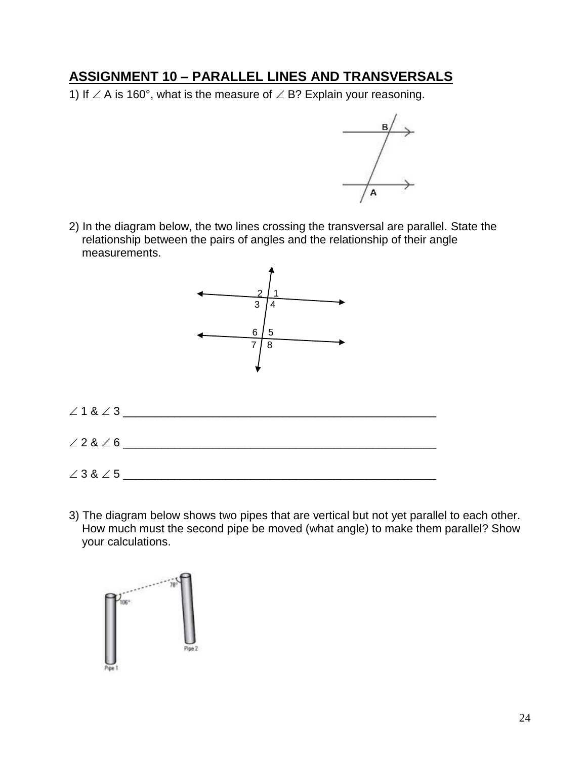#### **ASSIGNMENT 10 – PARALLEL LINES AND TRANSVERSALS**

1) If  $\angle$  A is 160°, what is the measure of  $\angle$  B? Explain your reasoning.



2) In the diagram below, the two lines crossing the transversal are parallel. State the relationship between the pairs of angles and the relationship of their angle measurements.



3) The diagram below shows two pipes that are vertical but not yet parallel to each other. How much must the second pipe be moved (what angle) to make them parallel? Show your calculations.